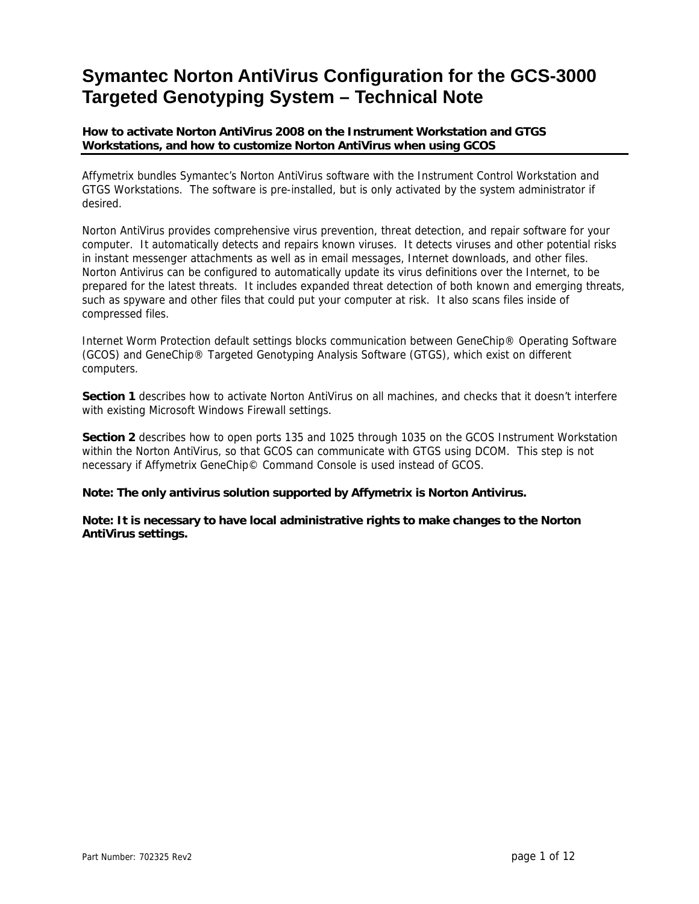# **Symantec Norton AntiVirus Configuration for the GCS-3000 Targeted Genotyping System – Technical Note**

## **How to activate Norton AntiVirus 2008 on the Instrument Workstation and GTGS Workstations, and how to customize Norton AntiVirus when using GCOS**

Affymetrix bundles Symantec's Norton AntiVirus software with the Instrument Control Workstation and GTGS Workstations. The software is pre-installed, but is only activated by the system administrator if desired.

Norton AntiVirus provides comprehensive virus prevention, threat detection, and repair software for your computer. It automatically detects and repairs known viruses. It detects viruses and other potential risks in instant messenger attachments as well as in email messages, Internet downloads, and other files. Norton Antivirus can be configured to automatically update its virus definitions over the Internet, to be prepared for the latest threats. It includes expanded threat detection of both known and emerging threats, such as spyware and other files that could put your computer at risk. It also scans files inside of compressed files.

Internet Worm Protection default settings blocks communication between GeneChip® Operating Software (GCOS) and GeneChip® Targeted Genotyping Analysis Software (GTGS), which exist on different computers.

Section 1 describes how to activate Norton AntiVirus on all machines, and checks that it doesn't interfere with existing Microsoft Windows Firewall settings.

**Section 2** describes how to open ports 135 and 1025 through 1035 on the GCOS Instrument Workstation within the Norton AntiVirus, so that GCOS can communicate with GTGS using DCOM. This step is not necessary if Affymetrix GeneChip© Command Console is used instead of GCOS.

## **Note: The only antivirus solution supported by Affymetrix is Norton Antivirus.**

**Note: It is necessary to have local administrative rights to make changes to the Norton AntiVirus settings.**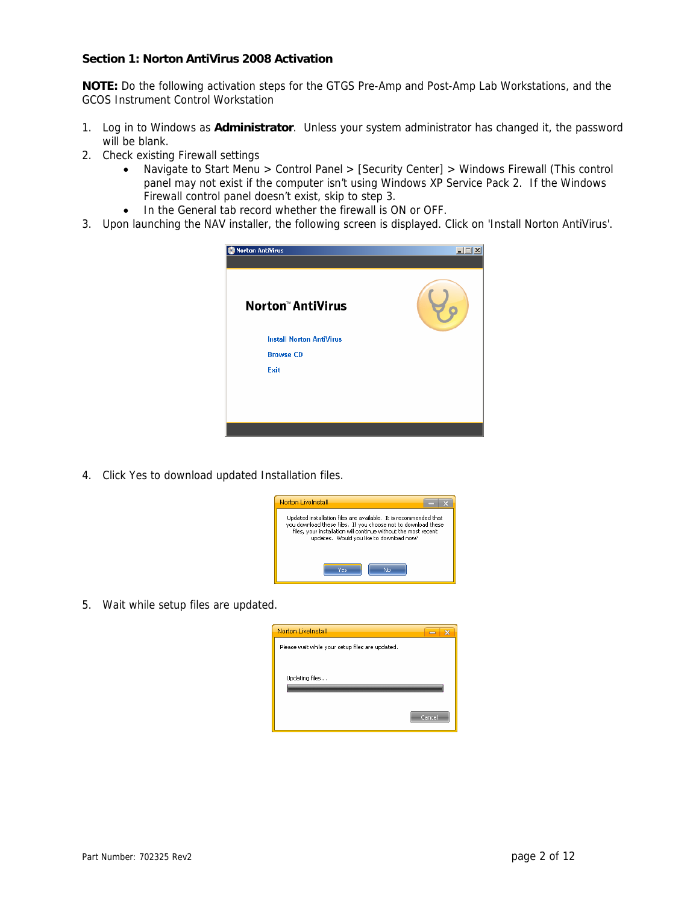### **Section 1: Norton AntiVirus 2008 Activation**

**NOTE:** Do the following activation steps for the GTGS Pre-Amp and Post-Amp Lab Workstations, and the GCOS Instrument Control Workstation

- 1. Log in to Windows as **Administrator**. Unless your system administrator has changed it, the password will be blank.
- 2. Check existing Firewall settings
	- Navigate to Start Menu > Control Panel > [Security Center] > Windows Firewall (This control panel may not exist if the computer isn't using Windows XP Service Pack 2. If the Windows Firewall control panel doesn't exist, skip to step 3.
	- In the General tab record whether the firewall is ON or OFF.
- 3. Upon launching the NAV installer, the following screen is displayed. Click on 'Install Norton AntiVirus'.



4. Click Yes to download updated Installation files.



5. Wait while setup files are updated.

| <b>Norton Livelnstall</b>                       | x<br>ш |
|-------------------------------------------------|--------|
| Please wait while your setup files are updated. |        |
|                                                 |        |
|                                                 |        |
| Updating files                                  |        |
|                                                 |        |
|                                                 |        |
|                                                 | Cancel |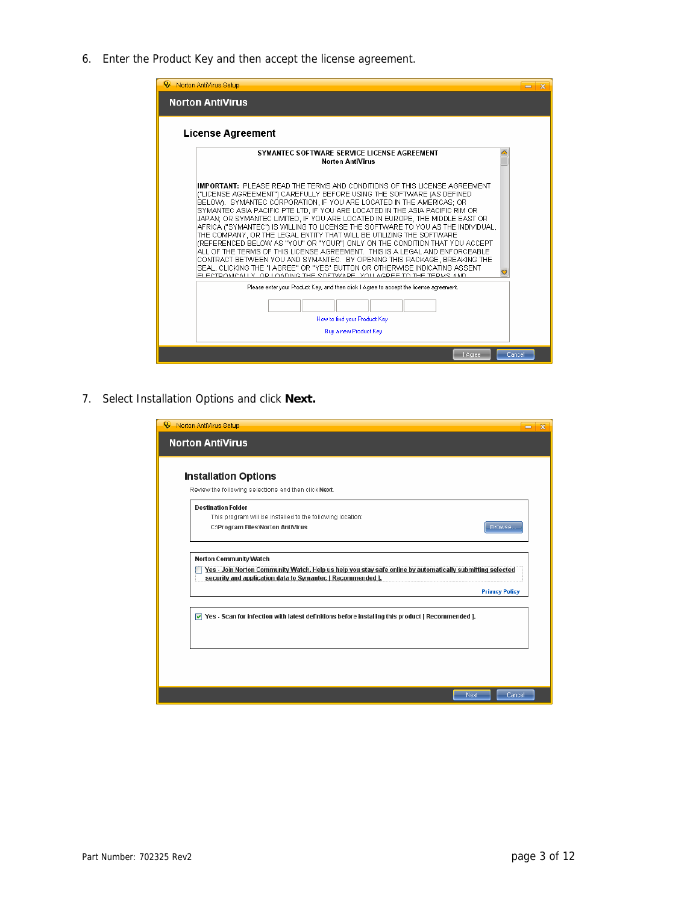6. Enter the Product Key and then accept the license agreement.



7. Select Installation Options and click **Next.**

| Norton AntiVirus Setup                                                                                           |                       |
|------------------------------------------------------------------------------------------------------------------|-----------------------|
| <b>Norton AntiVirus</b>                                                                                          |                       |
| <b>Installation Options</b>                                                                                      |                       |
| Review the following selections and then click Next.                                                             |                       |
| <b>Destination Folder</b>                                                                                        |                       |
| This program will be installed to the following location:                                                        |                       |
| C:\Program Files\Norton AntiVirus                                                                                | Browse                |
| Norton Community Watch                                                                                           |                       |
| Yes - Join Norton Community Watch. Help us help you stay safe online by automatically submitting selected        |                       |
| security and application data to Symantec [ Recommended ].                                                       |                       |
|                                                                                                                  | <b>Privacy Policy</b> |
|                                                                                                                  |                       |
| $\triangledown$ Yes - Scan for infection with latest definitions before installing this product [ Recommended ]. |                       |
|                                                                                                                  |                       |
|                                                                                                                  |                       |
|                                                                                                                  |                       |
|                                                                                                                  |                       |
|                                                                                                                  |                       |
|                                                                                                                  | Next                  |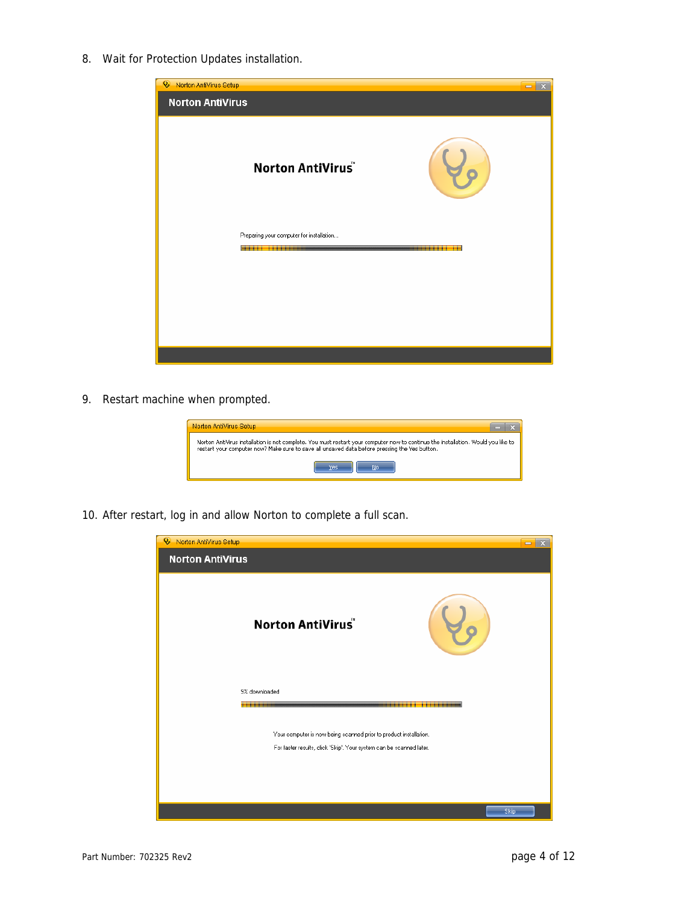8. Wait for Protection Updates installation.



9. Restart machine when prompted.



10. After restart, log in and allow Norton to complete a full scan.

| $\mathsf{Q}_\circ$<br>Norton AntiVirus Setup                                                                                             | $\mathbf{x}$<br>0 |
|------------------------------------------------------------------------------------------------------------------------------------------|-------------------|
| <b>Norton AntiVirus</b>                                                                                                                  |                   |
| Norton AntiVirus                                                                                                                         |                   |
| 9% downloaded                                                                                                                            |                   |
| Your computer is now being scanned prior to product installation.<br>For faster results, click 'Skip'. Your system can be scanned later. |                   |
|                                                                                                                                          | Skip              |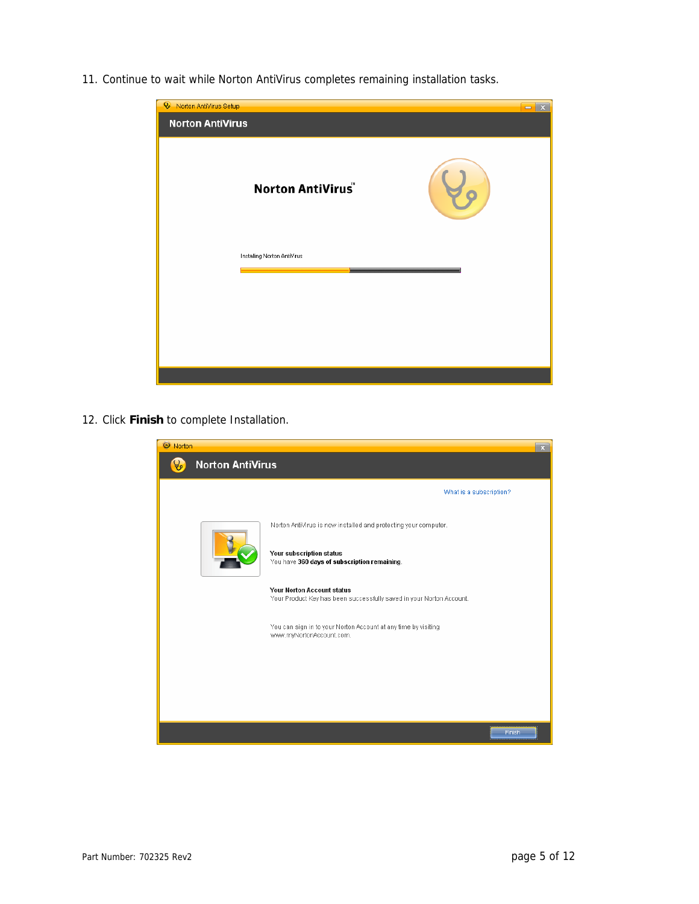11. Continue to wait while Norton AntiVirus completes remaining installation tasks.



12. Click **Finish** to complete Installation.

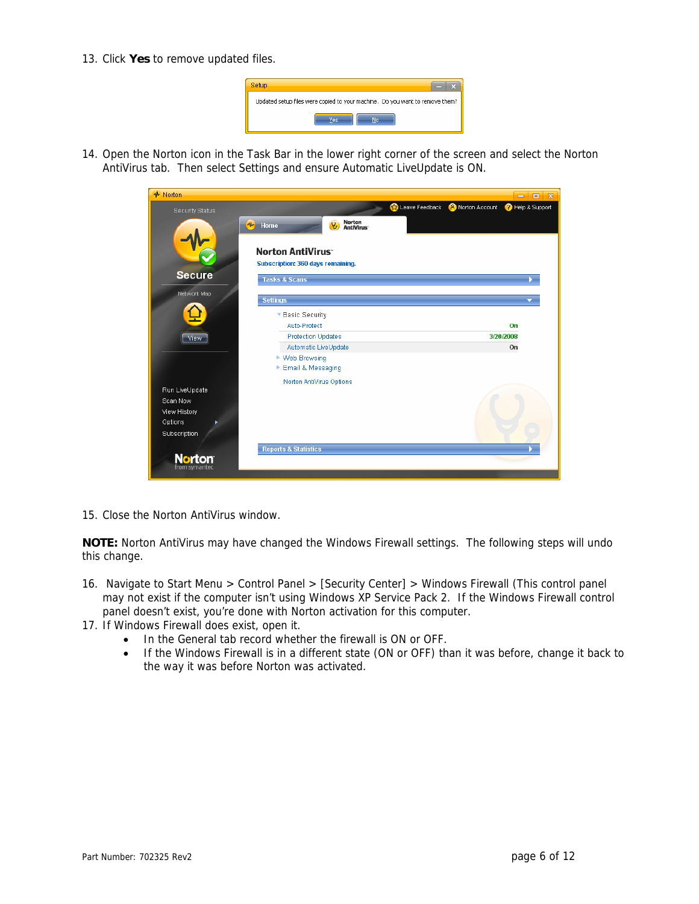13. Click **Yes** to remove updated files.

| <b>Setup</b> |                                                                              |
|--------------|------------------------------------------------------------------------------|
|              | Updated setup files were copied to your machine. Do you want to remove them? |
|              | No<br>Yes                                                                    |

14. Open the Norton icon in the Task Bar in the lower right corner of the screen and select the Norton AntiVirus tab. Then select Settings and ensure Automatic LiveUpdate is ON.

| ↑ Norton        |                                                                           | $\mathbf x$<br>$\square$<br>$\blacksquare$ |
|-----------------|---------------------------------------------------------------------------|--------------------------------------------|
| Security Status | Leave Feedback                                                            | <b>8</b> Norton Account<br>Help & Support  |
| $+$             | Norton<br>AntiVirus <sup>.</sup><br>Home<br>V,<br><b>Norton AntiVirus</b> |                                            |
|                 | Subscription: 360 days remaining.                                         |                                            |
| <b>Secure</b>   | <b>Tasks &amp; Scans</b>                                                  |                                            |
| Network Map     | <b>Settings</b>                                                           |                                            |
|                 | ▼ Basic Security                                                          |                                            |
|                 | Auto-Protect                                                              | On                                         |
| View            | <b>Protection Updates</b>                                                 | 3/20/2008                                  |
|                 | Automatic LiveUpdate                                                      | On                                         |
|                 | ▶ Web Browsing                                                            |                                            |
|                 | Email & Messaging<br>Þ                                                    |                                            |
|                 | Norton AntiVirus Options                                                  |                                            |
| Run LiveUpdate  |                                                                           |                                            |
| Scan Now        |                                                                           |                                            |
| View History    |                                                                           |                                            |
| Options         |                                                                           |                                            |
| Subscription    |                                                                           |                                            |
|                 | <b>Reports &amp; Statistics</b>                                           |                                            |
| <b>Norton</b>   |                                                                           |                                            |
| from symantec   |                                                                           |                                            |

15. Close the Norton AntiVirus window.

**NOTE:** Norton AntiVirus may have changed the Windows Firewall settings. The following steps will undo this change.

- 16. Navigate to Start Menu > Control Panel > [Security Center] > Windows Firewall (This control panel may not exist if the computer isn't using Windows XP Service Pack 2. If the Windows Firewall control panel doesn't exist, you're done with Norton activation for this computer.
- 17. If Windows Firewall does exist, open it.
	- In the General tab record whether the firewall is ON or OFF.
	- If the Windows Firewall is in a different state (ON or OFF) than it was before, change it back to the way it was before Norton was activated.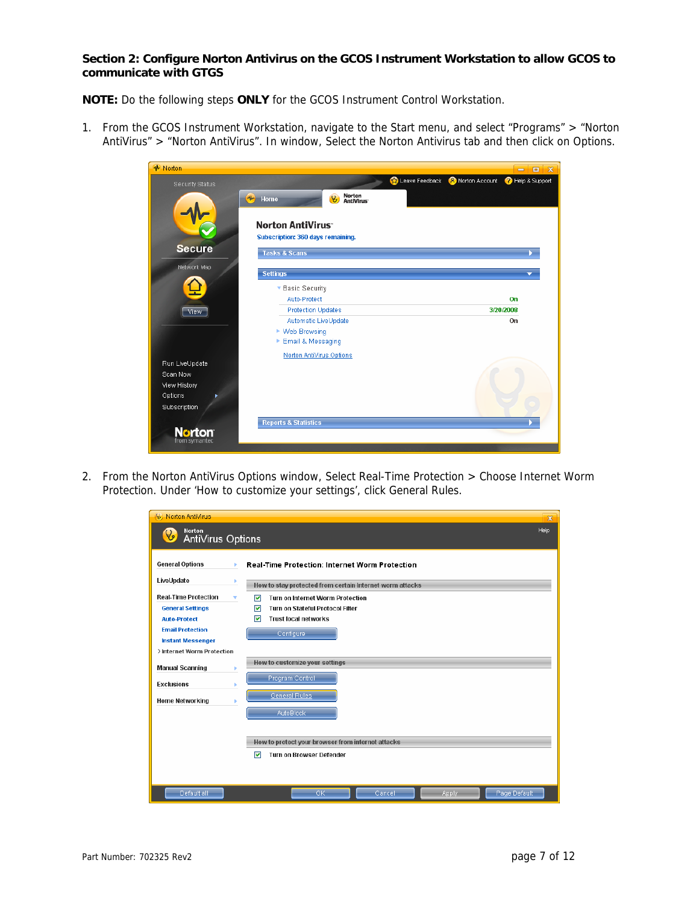### **Section 2: Configure Norton Antivirus on the GCOS Instrument Workstation to allow GCOS to communicate with GTGS**

**NOTE:** Do the following steps **ONLY** for the GCOS Instrument Control Workstation.

1. From the GCOS Instrument Workstation, navigate to the Start menu, and select "Programs" > "Norton AntiVirus" > "Norton AntiVirus". In window, Select the Norton Antivirus tab and then click on Options.

| $\overline{\mathbf{x}}$<br>E<br>$\blacksquare$ |
|------------------------------------------------|
| Help & Support                                 |
|                                                |
|                                                |
|                                                |
|                                                |
|                                                |
|                                                |
|                                                |
|                                                |
|                                                |
|                                                |
|                                                |
|                                                |
|                                                |
|                                                |
|                                                |
|                                                |
|                                                |
|                                                |
|                                                |

2. From the Norton AntiVirus Options window, Select Real-Time Protection > Choose Internet Worm Protection. Under 'How to customize your settings', click General Rules.

| <b>W</b> Norton AntiVirus                         |                                                          | $\overline{\mathbf{x}}$ |  |
|---------------------------------------------------|----------------------------------------------------------|-------------------------|--|
| Norton<br>$\mathcal{G}$<br>AntiVirus Options      |                                                          | Help                    |  |
| <b>General Options</b>                            | <b>Real-Time Protection: Internet Worm Protection</b>    |                         |  |
| LiveUpdate                                        | How to stay protected from certain Internet worm attacks |                         |  |
| <b>Real-Time Protection</b><br>v                  | ☑<br><b>Turn on Internet Worm Protection</b>             |                         |  |
| <b>General Settings</b>                           | <b>Turn on Stateful Protocol Filter</b><br>▽             |                         |  |
| <b>Auto-Protect</b><br><b>Email Protection</b>    | ⊽<br><b>Trust local networks</b>                         |                         |  |
| <b>Instant Messenger</b>                          | Configure                                                |                         |  |
| > Internet Worm Protection                        |                                                          |                         |  |
| <b>Manual Scanning</b>                            | How to customize your settings                           |                         |  |
| <b>Exclusions</b>                                 | Program Control                                          |                         |  |
| <b>Home Networking</b>                            | <b>General Rules</b>                                     |                         |  |
|                                                   | AutoBlock                                                |                         |  |
| How to protect your browser from internet attacks |                                                          |                         |  |
| ☑<br><b>Turn on Browser Defender</b>              |                                                          |                         |  |
|                                                   |                                                          |                         |  |
| Default all                                       | OK<br>Cancel<br>Apply                                    | Page Default            |  |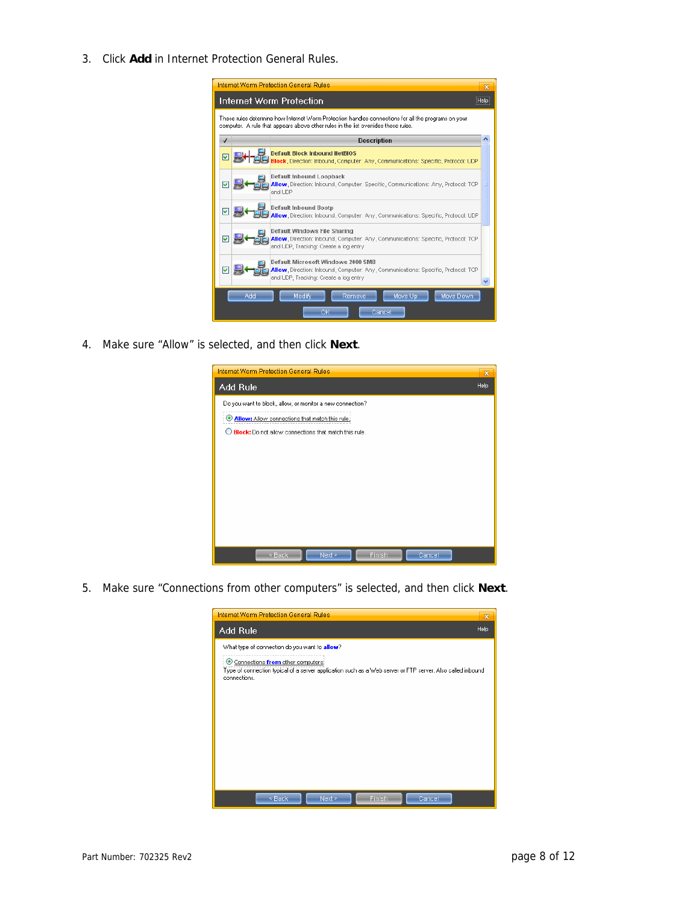3. Click **Add** in Internet Protection General Rules.



4. Make sure "Allow" is selected, and then click **Next**.



5. Make sure "Connections from other computers" is selected, and then click **Next**.

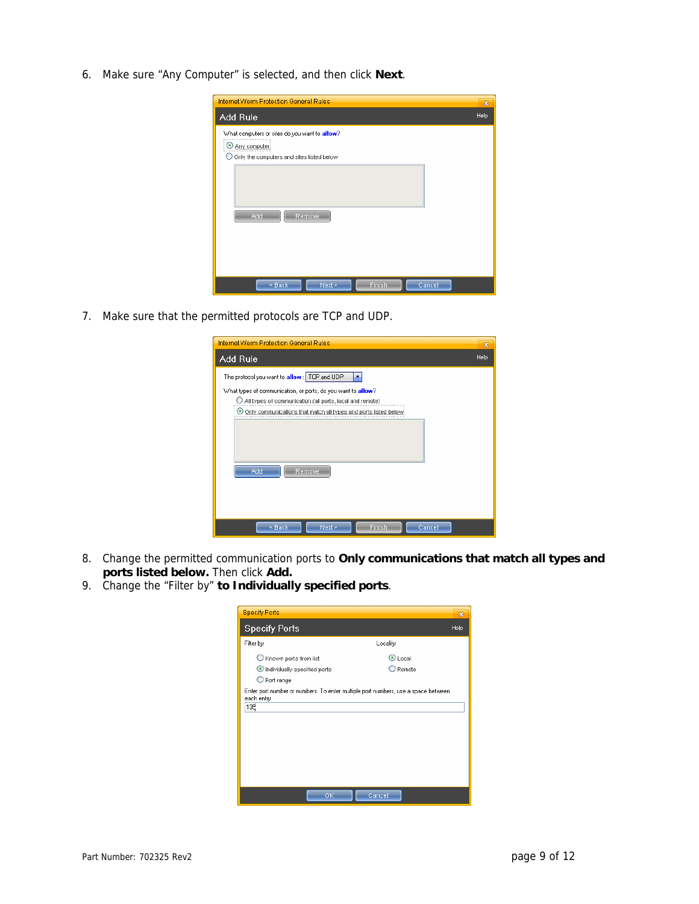6. Make sure "Any Computer" is selected, and then click **Next**.

| Internet Worm Protection General Rules                                                                          | $\overline{\mathbf{x}}$ |
|-----------------------------------------------------------------------------------------------------------------|-------------------------|
| Add Rule                                                                                                        | Help                    |
| What computers or sites do you want to allow?<br>Any computer<br>Only the computers and sites listed below<br>O |                         |
|                                                                                                                 |                         |
| <b>Add</b><br>Remove                                                                                            |                         |
| Next<br>Cancel<br><b>Finish</b><br>$\leq$ Back                                                                  |                         |

7. Make sure that the permitted protocols are TCP and UDP.

| Internet Worm Protection General Rules                                                                                                                                                                                                                                  | $\overline{\mathbf{x}}$ |
|-------------------------------------------------------------------------------------------------------------------------------------------------------------------------------------------------------------------------------------------------------------------------|-------------------------|
| Add Rule                                                                                                                                                                                                                                                                | Help                    |
| The protocol you want to allow: TCP and UDP<br>What types of communication, or ports, do you want to allow?<br>$\bigcirc$ All types of communication (all ports, local and remote)<br>Only communications that match all types and ports listed below)<br>Add<br>Remove |                         |
| Finish<br>Cancel<br>Next<br>< Back                                                                                                                                                                                                                                      |                         |

- 8. Change the permitted communication ports to **Only communications that match all types and ports listed below.** Then click **Add.**
- 9. Change the "Filter by" **to Individually specified ports**.

| <b>Specify Ports</b>                                                                      | $\overline{\mathbf{x}}$                                                           |
|-------------------------------------------------------------------------------------------|-----------------------------------------------------------------------------------|
| <b>Specify Ports</b>                                                                      | Help                                                                              |
| Filter by:                                                                                | Locality:                                                                         |
| $\bigcirc$ Known ports from list<br>Individually specified ports<br>$\bigcirc$ Port range | tenn I ⊙<br>Remote                                                                |
| each entry.<br>13년                                                                        | Enter port number or numbers. To enter multiple port numbers, use a space between |
|                                                                                           | <b>OK</b><br>Cancel                                                               |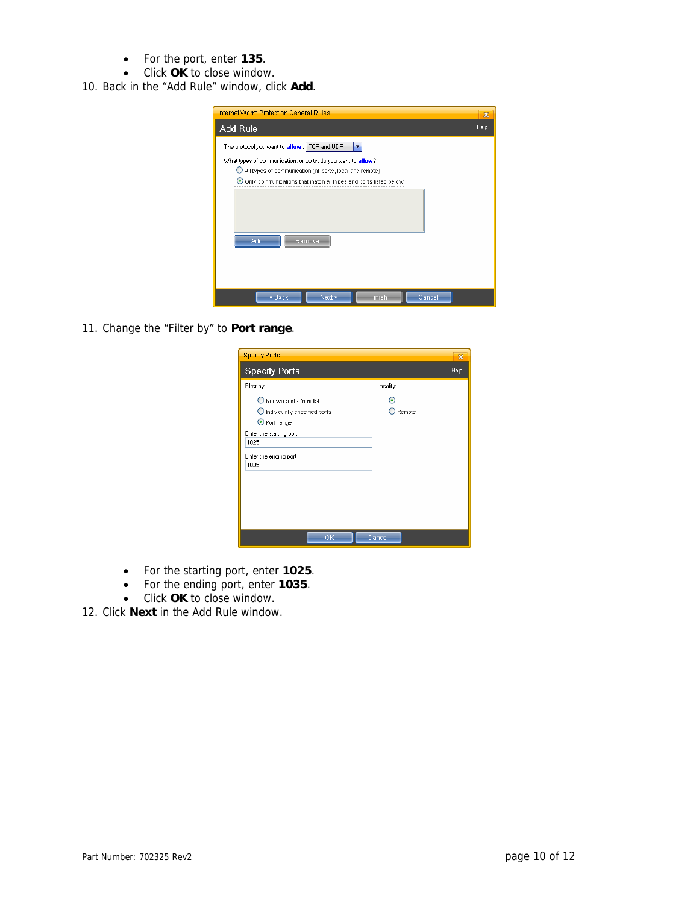- For the port, enter **135**.
- Click **OK** to close window.
- 10. Back in the "Add Rule" window, click **Add**.

| Internet Worm Protection General Rules                                  | $\mathbf x$ |
|-------------------------------------------------------------------------|-------------|
| Add Rule                                                                | Help        |
| The protocol you want to allow: TCP and UDP<br>$\overline{\phantom{a}}$ |             |
| What types of communication, or ports, do you want to allow?            |             |
| All types of communication (all ports, local and remote)                |             |
| O Only communications that match all types and ports listed below.      |             |
|                                                                         |             |
| Add<br>Remove                                                           |             |
| Next<br>$\leq$ Back<br>Finish<br>Cancel                                 |             |

11. Change the "Filter by" to **Port range**.

| <b>Specify Ports</b>                                                                                                                                   | $\overline{\mathbf{x}}$ |
|--------------------------------------------------------------------------------------------------------------------------------------------------------|-------------------------|
| <b>Specify Ports</b>                                                                                                                                   | Help                    |
| Filter by:                                                                                                                                             | Locality:               |
| C Known ports from list<br>$\bigcirc$ Individually specified ports<br>O Port range<br>Enter the starting port<br>1025<br>Enter the ending port<br>1035 | $\odot$ Local<br>Remote |
| <b>OK</b>                                                                                                                                              | Cancel                  |

- For the starting port, enter **1025**.
- For the ending port, enter **1035**.
- Click **OK** to close window.
- 12. Click **Next** in the Add Rule window.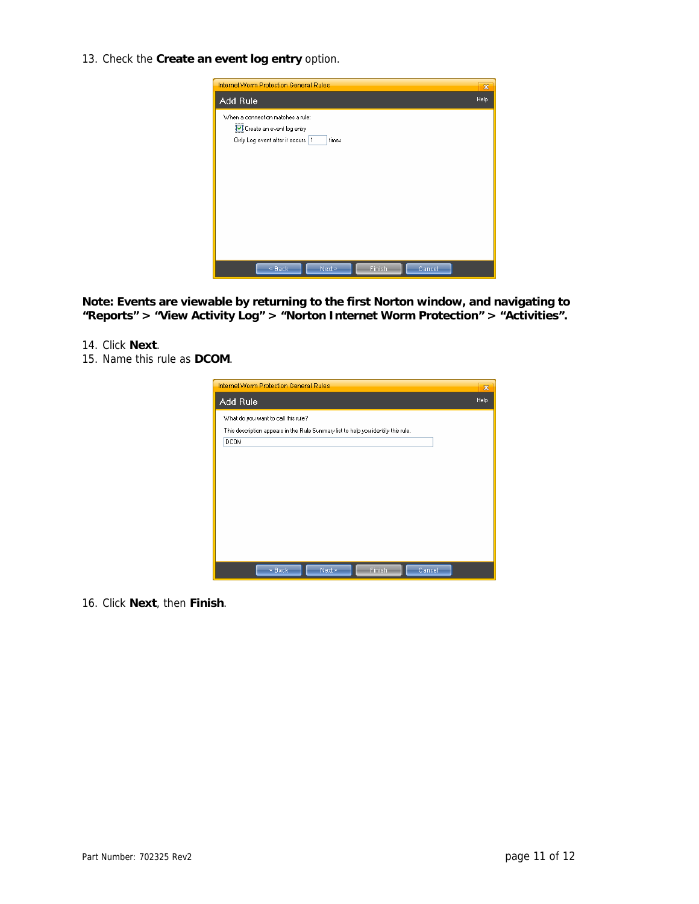13. Check the **Create an event log entry** option.

| Internet Worm Protection General Rules                                                                                         | $\overline{\mathbf{x}}$ |
|--------------------------------------------------------------------------------------------------------------------------------|-------------------------|
| Add Rule                                                                                                                       | Help                    |
| When a connection matches a rule:<br>$\boxed{\text{V}}$ Create an event log entry<br>Only Log event after it occurs 1<br>times |                         |
| Cancel<br>Next<br>Finish<br>$\leq$ Back                                                                                        |                         |

**Note: Events are viewable by returning to the first Norton window, and navigating to "Reports" > "View Activity Log" > "Norton Internet Worm Protection" > "Activities".** 

- 14. Click **Next**.
- 15. Name this rule as **DCOM**.

| Internet Worm Protection General Rules.                                           | $\overline{\mathbf{x}}$ |
|-----------------------------------------------------------------------------------|-------------------------|
| Add Rule                                                                          | Help                    |
| What do you want to call this rule?                                               |                         |
| This description appears in the Rule Summary list to help you identify this rule. |                         |
| <b>DCOM</b>                                                                       |                         |
|                                                                                   |                         |
|                                                                                   |                         |
|                                                                                   |                         |
|                                                                                   |                         |
|                                                                                   |                         |
|                                                                                   |                         |
|                                                                                   |                         |
|                                                                                   |                         |
|                                                                                   |                         |
| Cancel<br>Next<br><b>Finish</b><br>$\leq$ Back                                    |                         |

16. Click **Next**, then **Finish**.